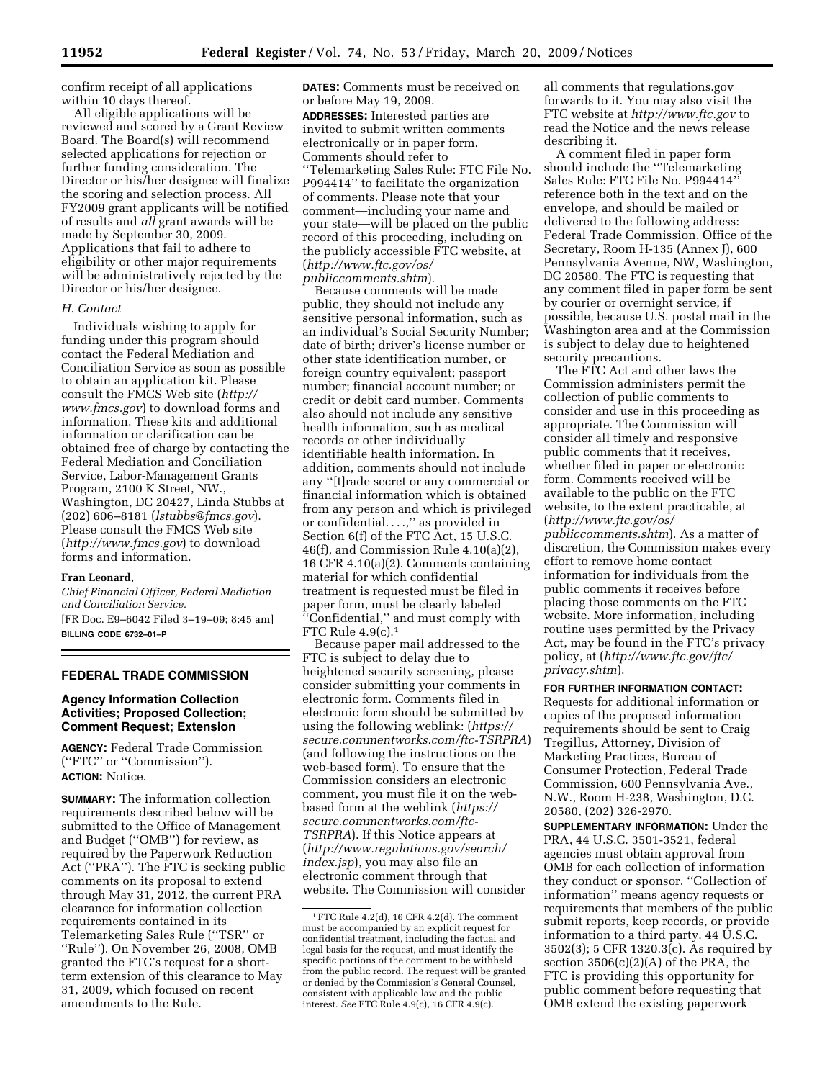confirm receipt of all applications within 10 days thereof.

All eligible applications will be reviewed and scored by a Grant Review Board. The Board(s) will recommend selected applications for rejection or further funding consideration. The Director or his/her designee will finalize the scoring and selection process. All FY2009 grant applicants will be notified of results and *all* grant awards will be made by September 30, 2009. Applications that fail to adhere to eligibility or other major requirements will be administratively rejected by the Director or his/her designee.

#### *H. Contact*

Individuals wishing to apply for funding under this program should contact the Federal Mediation and Conciliation Service as soon as possible to obtain an application kit. Please consult the FMCS Web site (*http:// www.fmcs.gov*) to download forms and information. These kits and additional information or clarification can be obtained free of charge by contacting the Federal Mediation and Conciliation Service, Labor-Management Grants Program, 2100 K Street, NW., Washington, DC 20427, Linda Stubbs at (202) 606–8181 (*lstubbs@fmcs.gov*). Please consult the FMCS Web site (*http://www.fmcs.gov*) to download forms and information.

#### **Fran Leonard,**

*Chief Financial Officer, Federal Mediation and Conciliation Service.*  [FR Doc. E9–6042 Filed 3–19–09; 8:45 am] **BILLING CODE 6732–01–P** 

## **FEDERAL TRADE COMMISSION**

## **Agency Information Collection Activities; Proposed Collection; Comment Request; Extension**

**AGENCY:** Federal Trade Commission (''FTC'' or ''Commission''). **ACTION:** Notice.

**SUMMARY:** The information collection requirements described below will be submitted to the Office of Management and Budget (''OMB'') for review, as required by the Paperwork Reduction Act (''PRA''). The FTC is seeking public comments on its proposal to extend through May 31, 2012, the current PRA clearance for information collection requirements contained in its Telemarketing Sales Rule (''TSR'' or ''Rule''). On November 26, 2008, OMB granted the FTC's request for a shortterm extension of this clearance to May 31, 2009, which focused on recent amendments to the Rule.

**DATES:** Comments must be received on or before May 19, 2009.

**ADDRESSES:** Interested parties are invited to submit written comments electronically or in paper form. Comments should refer to ''Telemarketing Sales Rule: FTC File No. P994414'' to facilitate the organization of comments. Please note that your comment—including your name and your state—will be placed on the public record of this proceeding, including on the publicly accessible FTC website, at (*http://www.ftc.gov/os/ publiccomments.shtm*).

Because comments will be made public, they should not include any sensitive personal information, such as an individual's Social Security Number; date of birth; driver's license number or other state identification number, or foreign country equivalent; passport number; financial account number; or credit or debit card number. Comments also should not include any sensitive health information, such as medical records or other individually identifiable health information. In addition, comments should not include any ''[t]rade secret or any commercial or financial information which is obtained from any person and which is privileged or confidential. . . .,'' as provided in Section 6(f) of the FTC Act, 15 U.S.C. 46(f), and Commission Rule 4.10(a)(2), 16 CFR 4.10(a)(2). Comments containing material for which confidential treatment is requested must be filed in paper form, must be clearly labeled ''Confidential,'' and must comply with FTC Rule  $4.9(c).<sup>1</sup>$ 

Because paper mail addressed to the FTC is subject to delay due to heightened security screening, please consider submitting your comments in electronic form. Comments filed in electronic form should be submitted by using the following weblink: (*https:// secure.commentworks.com/ftc-TSRPRA*) (and following the instructions on the web-based form). To ensure that the Commission considers an electronic comment, you must file it on the webbased form at the weblink (*https:// secure.commentworks.com/ftc-TSRPRA*). If this Notice appears at (*http://www.regulations.gov/search/ index.jsp*), you may also file an electronic comment through that website. The Commission will consider

all comments that regulations.gov forwards to it. You may also visit the FTC website at *http://www.ftc.gov* to read the Notice and the news release describing it.

A comment filed in paper form should include the ''Telemarketing Sales Rule: FTC File No. P994414'' reference both in the text and on the envelope, and should be mailed or delivered to the following address: Federal Trade Commission, Office of the Secretary, Room H-135 (Annex J), 600 Pennsylvania Avenue, NW, Washington, DC 20580. The FTC is requesting that any comment filed in paper form be sent by courier or overnight service, if possible, because U.S. postal mail in the Washington area and at the Commission is subject to delay due to heightened security precautions.

The FTC Act and other laws the Commission administers permit the collection of public comments to consider and use in this proceeding as appropriate. The Commission will consider all timely and responsive public comments that it receives, whether filed in paper or electronic form. Comments received will be available to the public on the FTC website, to the extent practicable, at (*http://www.ftc.gov/os/ publiccomments.shtm*). As a matter of discretion, the Commission makes every effort to remove home contact information for individuals from the public comments it receives before placing those comments on the FTC website. More information, including routine uses permitted by the Privacy Act, may be found in the FTC's privacy policy, at (*http://www.ftc.gov/ftc/ privacy.shtm*).

### **FOR FURTHER INFORMATION CONTACT:**

Requests for additional information or copies of the proposed information requirements should be sent to Craig Tregillus, Attorney, Division of Marketing Practices, Bureau of Consumer Protection, Federal Trade Commission, 600 Pennsylvania Ave., N.W., Room H-238, Washington, D.C. 20580, (202) 326-2970.

**SUPPLEMENTARY INFORMATION:** Under the PRA, 44 U.S.C. 3501-3521, federal agencies must obtain approval from OMB for each collection of information they conduct or sponsor. ''Collection of information'' means agency requests or requirements that members of the public submit reports, keep records, or provide information to a third party. 44 U.S.C. 3502(3); 5 CFR 1320.3(c). As required by section  $3506(c)(2)(A)$  of the PRA, the FTC is providing this opportunity for public comment before requesting that OMB extend the existing paperwork

<sup>1</sup>FTC Rule 4.2(d), 16 CFR 4.2(d). The comment must be accompanied by an explicit request for confidential treatment, including the factual and legal basis for the request, and must identify the specific portions of the comment to be withheld from the public record. The request will be granted or denied by the Commission's General Counsel, consistent with applicable law and the public interest. *See* FTC Rule 4.9(c), 16 CFR 4.9(c).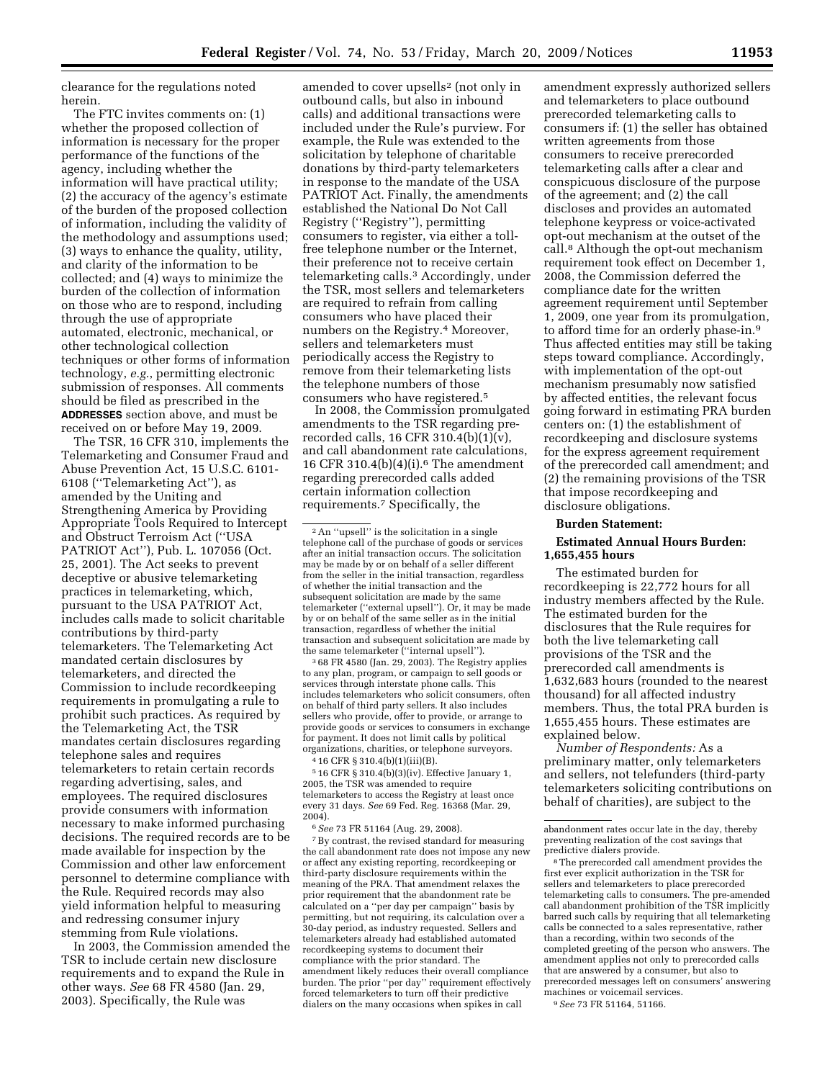clearance for the regulations noted herein.

The FTC invites comments on: (1) whether the proposed collection of information is necessary for the proper performance of the functions of the agency, including whether the information will have practical utility; (2) the accuracy of the agency's estimate of the burden of the proposed collection of information, including the validity of the methodology and assumptions used; (3) ways to enhance the quality, utility, and clarity of the information to be collected; and (4) ways to minimize the burden of the collection of information on those who are to respond, including through the use of appropriate automated, electronic, mechanical, or other technological collection techniques or other forms of information technology, *e.g.*, permitting electronic submission of responses. All comments should be filed as prescribed in the **ADDRESSES** section above, and must be received on or before May 19, 2009.

The TSR, 16 CFR 310, implements the Telemarketing and Consumer Fraud and Abuse Prevention Act, 15 U.S.C. 6101- 6108 (''Telemarketing Act''), as amended by the Uniting and Strengthening America by Providing Appropriate Tools Required to Intercept and Obstruct Terroism Act (''USA PATRIOT Act''), Pub. L. 107056 (Oct. 25, 2001). The Act seeks to prevent deceptive or abusive telemarketing practices in telemarketing, which, pursuant to the USA PATRIOT Act, includes calls made to solicit charitable contributions by third-party telemarketers. The Telemarketing Act mandated certain disclosures by telemarketers, and directed the Commission to include recordkeeping requirements in promulgating a rule to prohibit such practices. As required by the Telemarketing Act, the TSR mandates certain disclosures regarding telephone sales and requires telemarketers to retain certain records regarding advertising, sales, and employees. The required disclosures provide consumers with information necessary to make informed purchasing decisions. The required records are to be made available for inspection by the Commission and other law enforcement personnel to determine compliance with the Rule. Required records may also yield information helpful to measuring and redressing consumer injury stemming from Rule violations.

In 2003, the Commission amended the TSR to include certain new disclosure requirements and to expand the Rule in other ways. *See* 68 FR 4580 (Jan. 29, 2003). Specifically, the Rule was

amended to cover upsells2 (not only in outbound calls, but also in inbound calls) and additional transactions were included under the Rule's purview. For example, the Rule was extended to the solicitation by telephone of charitable donations by third-party telemarketers in response to the mandate of the USA PATRIOT Act. Finally, the amendments established the National Do Not Call Registry (''Registry''), permitting consumers to register, via either a tollfree telephone number or the Internet, their preference not to receive certain telemarketing calls.3 Accordingly, under the TSR, most sellers and telemarketers are required to refrain from calling consumers who have placed their numbers on the Registry.4 Moreover, sellers and telemarketers must periodically access the Registry to remove from their telemarketing lists the telephone numbers of those consumers who have registered.5

In 2008, the Commission promulgated amendments to the TSR regarding prerecorded calls, 16 CFR 310.4(b)(1)(v), and call abandonment rate calculations, 16 CFR 310.4(b)(4)(i).6 The amendment regarding prerecorded calls added certain information collection requirements.7 Specifically, the

<sup>2</sup>An "upsell" is the solicitation in a single telephone call of the purchase of goods or services after an initial transaction occurs. The solicitation may be made by or on behalf of a seller different from the seller in the initial transaction, regardless of whether the initial transaction and the subsequent solicitation are made by the same telemarketer (''external upsell''). Or, it may be made by or on behalf of the same seller as in the initial transaction, regardless of whether the initial transaction and subsequent solicitation are made by the same telemarketer (''internal upsell'').

3 68 FR 4580 (Jan. 29, 2003). The Registry applies to any plan, program, or campaign to sell goods or services through interstate phone calls. This includes telemarketers who solicit consumers, often on behalf of third party sellers. It also includes sellers who provide, offer to provide, or arrange to provide goods or services to consumers in exchange for payment. It does not limit calls by political organizations, charities, or telephone surveyors.

4 16 CFR § 310.4(b)(1)(iii)(B).

5 16 CFR § 310.4(b)(3)(iv). Effective January 1, 2005, the TSR was amended to require telemarketers to access the Registry at least once every 31 days. *See* 69 Fed. Reg. 16368 (Mar. 29, 2004).

6*See* 73 FR 51164 (Aug. 29, 2008).

7By contrast, the revised standard for measuring the call abandonment rate does not impose any new or affect any existing reporting, recordkeeping or third-party disclosure requirements within the meaning of the PRA. That amendment relaxes the prior requirement that the abandonment rate be calculated on a ''per day per campaign'' basis by permitting, but not requiring, its calculation over a 30-day period, as industry requested. Sellers and telemarketers already had established automated recordkeeping systems to document their compliance with the prior standard. The amendment likely reduces their overall compliance burden. The prior ''per day'' requirement effectively forced telemarketers to turn off their predictive dialers on the many occasions when spikes in call

amendment expressly authorized sellers and telemarketers to place outbound prerecorded telemarketing calls to consumers if: (1) the seller has obtained written agreements from those consumers to receive prerecorded telemarketing calls after a clear and conspicuous disclosure of the purpose of the agreement; and (2) the call discloses and provides an automated telephone keypress or voice-activated opt-out mechanism at the outset of the call.8 Although the opt-out mechanism requirement took effect on December 1, 2008, the Commission deferred the compliance date for the written agreement requirement until September 1, 2009, one year from its promulgation, to afford time for an orderly phase-in.9 Thus affected entities may still be taking steps toward compliance. Accordingly, with implementation of the opt-out mechanism presumably now satisfied by affected entities, the relevant focus going forward in estimating PRA burden centers on: (1) the establishment of recordkeeping and disclosure systems for the express agreement requirement of the prerecorded call amendment; and (2) the remaining provisions of the TSR that impose recordkeeping and disclosure obligations.

#### **Burden Statement:**

### **Estimated Annual Hours Burden: 1,655,455 hours**

The estimated burden for recordkeeping is 22,772 hours for all industry members affected by the Rule. The estimated burden for the disclosures that the Rule requires for both the live telemarketing call provisions of the TSR and the prerecorded call amendments is 1,632,683 hours (rounded to the nearest thousand) for all affected industry members. Thus, the total PRA burden is 1,655,455 hours. These estimates are explained below.

*Number of Respondents:* As a preliminary matter, only telemarketers and sellers, not telefunders (third-party telemarketers soliciting contributions on behalf of charities), are subject to the

8The prerecorded call amendment provides the first ever explicit authorization in the TSR for sellers and telemarketers to place prerecorded telemarketing calls to consumers. The pre-amended call abandonment prohibition of the TSR implicitly barred such calls by requiring that all telemarketing calls be connected to a sales representative, rather than a recording, within two seconds of the completed greeting of the person who answers. The amendment applies not only to prerecorded calls that are answered by a consumer, but also to prerecorded messages left on consumers' answering machines or voicemail services. 9*See* 73 FR 51164, 51166.

abandonment rates occur late in the day, thereby preventing realization of the cost savings that predictive dialers provide.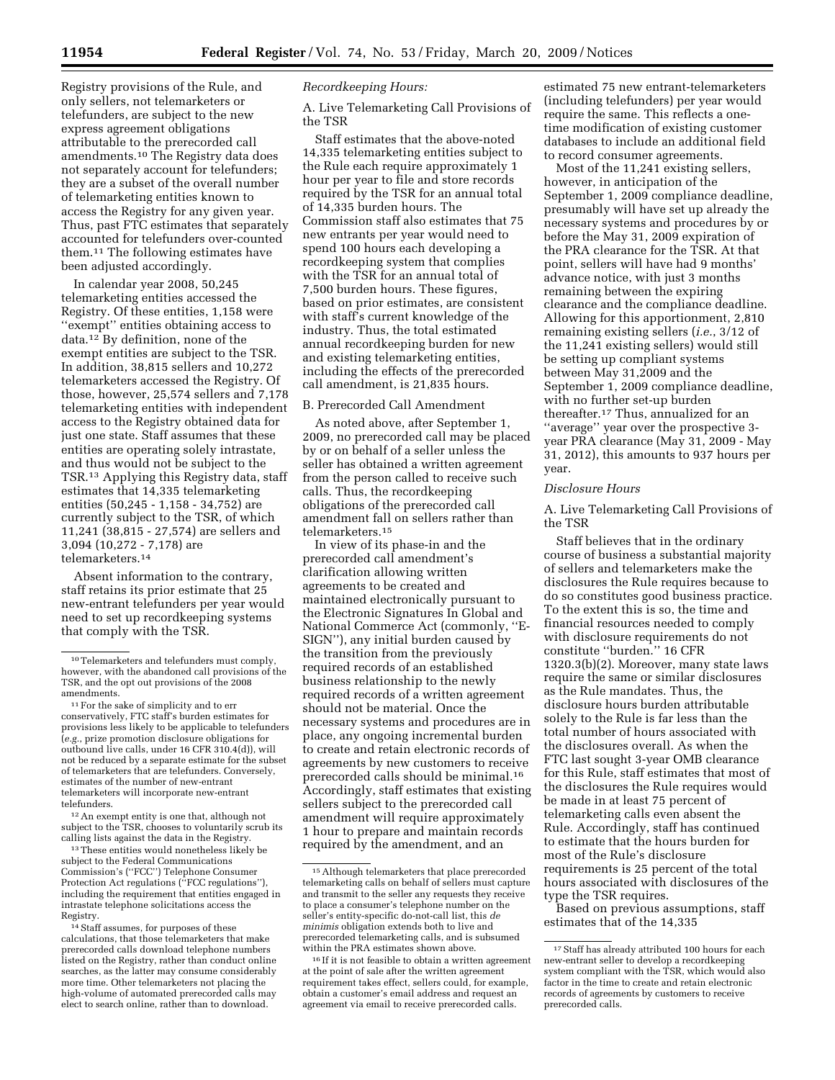Registry provisions of the Rule, and only sellers, not telemarketers or telefunders, are subject to the new express agreement obligations attributable to the prerecorded call amendments.10 The Registry data does not separately account for telefunders; they are a subset of the overall number of telemarketing entities known to access the Registry for any given year. Thus, past FTC estimates that separately accounted for telefunders over-counted them.11 The following estimates have been adjusted accordingly.

In calendar year 2008, 50,245 telemarketing entities accessed the Registry. Of these entities, 1,158 were ''exempt'' entities obtaining access to data.12 By definition, none of the exempt entities are subject to the TSR. In addition, 38,815 sellers and 10,272 telemarketers accessed the Registry. Of those, however, 25,574 sellers and 7,178 telemarketing entities with independent access to the Registry obtained data for just one state. Staff assumes that these entities are operating solely intrastate, and thus would not be subject to the TSR.13 Applying this Registry data, staff estimates that 14,335 telemarketing entities (50,245 - 1,158 - 34,752) are currently subject to the TSR, of which 11,241 (38,815 - 27,574) are sellers and 3,094 (10,272 - 7,178) are telemarketers.14

Absent information to the contrary, staff retains its prior estimate that 25 new-entrant telefunders per year would need to set up recordkeeping systems that comply with the TSR.

11For the sake of simplicity and to err conservatively, FTC staff's burden estimates for provisions less likely to be applicable to telefunders (*e.g.*, prize promotion disclosure obligations for outbound live calls, under 16 CFR 310.4(d)), will not be reduced by a separate estimate for the subset of telemarketers that are telefunders. Conversely, estimates of the number of new-entrant telemarketers will incorporate new-entrant telefunders.

12An exempt entity is one that, although not subject to the TSR, chooses to voluntarily scrub its calling lists against the data in the Registry.

<sup>13</sup> These entities would nonetheless likely be subject to the Federal Communications Commission's (''FCC'') Telephone Consumer Protection Act regulations ("FCC regulations") including the requirement that entities engaged in intrastate telephone solicitations access the Registry.

14Staff assumes, for purposes of these calculations, that those telemarketers that make prerecorded calls download telephone numbers listed on the Registry, rather than conduct online searches, as the latter may consume considerably more time. Other telemarketers not placing the high-volume of automated prerecorded calls may elect to search online, rather than to download.

# *Recordkeeping Hours:*

A. Live Telemarketing Call Provisions of the TSR

Staff estimates that the above-noted 14,335 telemarketing entities subject to the Rule each require approximately 1 hour per year to file and store records required by the TSR for an annual total of 14,335 burden hours. The Commission staff also estimates that 75 new entrants per year would need to spend 100 hours each developing a recordkeeping system that complies with the TSR for an annual total of 7,500 burden hours. These figures, based on prior estimates, are consistent with staff's current knowledge of the industry. Thus, the total estimated annual recordkeeping burden for new and existing telemarketing entities, including the effects of the prerecorded call amendment, is 21,835 hours.

#### B. Prerecorded Call Amendment

As noted above, after September 1, 2009, no prerecorded call may be placed by or on behalf of a seller unless the seller has obtained a written agreement from the person called to receive such calls. Thus, the recordkeeping obligations of the prerecorded call amendment fall on sellers rather than telemarketers.15

In view of its phase-in and the prerecorded call amendment's clarification allowing written agreements to be created and maintained electronically pursuant to the Electronic Signatures In Global and National Commerce Act (commonly, ''E-SIGN''), any initial burden caused by the transition from the previously required records of an established business relationship to the newly required records of a written agreement should not be material. Once the necessary systems and procedures are in place, any ongoing incremental burden to create and retain electronic records of agreements by new customers to receive prerecorded calls should be minimal.16 Accordingly, staff estimates that existing sellers subject to the prerecorded call amendment will require approximately 1 hour to prepare and maintain records required by the amendment, and an

estimated 75 new entrant-telemarketers (including telefunders) per year would require the same. This reflects a onetime modification of existing customer databases to include an additional field to record consumer agreements.

Most of the 11,241 existing sellers, however, in anticipation of the September 1, 2009 compliance deadline, presumably will have set up already the necessary systems and procedures by or before the May 31, 2009 expiration of the PRA clearance for the TSR. At that point, sellers will have had 9 months' advance notice, with just 3 months remaining between the expiring clearance and the compliance deadline. Allowing for this apportionment, 2,810 remaining existing sellers (*i.e.*, 3/12 of the 11,241 existing sellers) would still be setting up compliant systems between May 31,2009 and the September 1, 2009 compliance deadline, with no further set-up burden thereafter.17 Thus, annualized for an ''average'' year over the prospective 3 year PRA clearance (May 31, 2009 - May 31, 2012), this amounts to 937 hours per year.

#### *Disclosure Hours*

A. Live Telemarketing Call Provisions of the TSR

Staff believes that in the ordinary course of business a substantial majority of sellers and telemarketers make the disclosures the Rule requires because to do so constitutes good business practice. To the extent this is so, the time and financial resources needed to comply with disclosure requirements do not constitute ''burden.'' 16 CFR 1320.3(b)(2). Moreover, many state laws require the same or similar disclosures as the Rule mandates. Thus, the disclosure hours burden attributable solely to the Rule is far less than the total number of hours associated with the disclosures overall. As when the FTC last sought 3-year OMB clearance for this Rule, staff estimates that most of the disclosures the Rule requires would be made in at least 75 percent of telemarketing calls even absent the Rule. Accordingly, staff has continued to estimate that the hours burden for most of the Rule's disclosure requirements is 25 percent of the total hours associated with disclosures of the type the TSR requires.

Based on previous assumptions, staff estimates that of the 14,335

<sup>10</sup>Telemarketers and telefunders must comply, however, with the abandoned call provisions of the TSR, and the opt out provisions of the 2008 amendments.

<sup>15</sup>Although telemarketers that place prerecorded telemarketing calls on behalf of sellers must capture and transmit to the seller any requests they receive to place a consumer's telephone number on the seller's entity-specific do-not-call list, this *de minimis* obligation extends both to live and prerecorded telemarketing calls, and is subsumed within the PRA estimates shown above.

<sup>16</sup> If it is not feasible to obtain a written agreement at the point of sale after the written agreement requirement takes effect, sellers could, for example, obtain a customer's email address and request an agreement via email to receive prerecorded calls.

<sup>&</sup>lt;sup>17</sup> Staff has already attributed 100 hours for each new-entrant seller to develop a recordkeeping system compliant with the TSR, which would also factor in the time to create and retain electronic records of agreements by customers to receive prerecorded calls.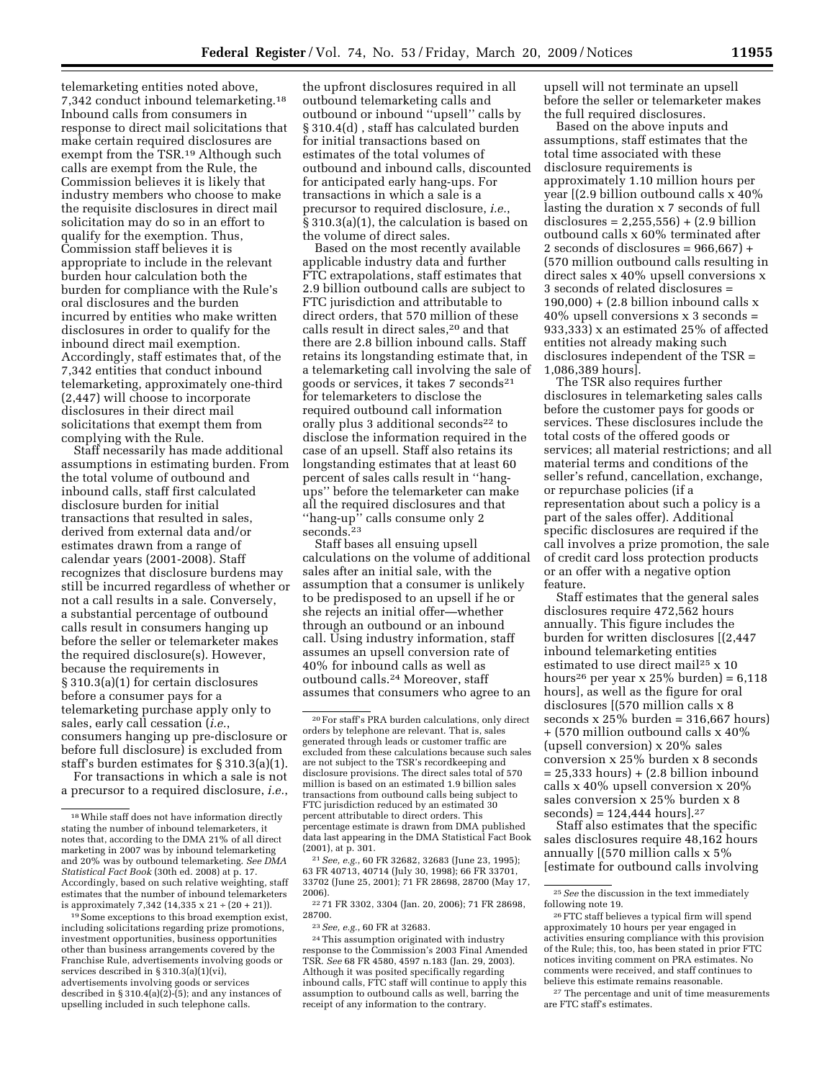telemarketing entities noted above, 7,342 conduct inbound telemarketing.18 Inbound calls from consumers in response to direct mail solicitations that make certain required disclosures are exempt from the TSR.19 Although such calls are exempt from the Rule, the Commission believes it is likely that industry members who choose to make the requisite disclosures in direct mail solicitation may do so in an effort to qualify for the exemption. Thus, Commission staff believes it is appropriate to include in the relevant burden hour calculation both the burden for compliance with the Rule's oral disclosures and the burden incurred by entities who make written disclosures in order to qualify for the inbound direct mail exemption. Accordingly, staff estimates that, of the 7,342 entities that conduct inbound telemarketing, approximately one-third (2,447) will choose to incorporate disclosures in their direct mail solicitations that exempt them from complying with the Rule.

Staff necessarily has made additional assumptions in estimating burden. From the total volume of outbound and inbound calls, staff first calculated disclosure burden for initial transactions that resulted in sales, derived from external data and/or estimates drawn from a range of calendar years (2001-2008). Staff recognizes that disclosure burdens may still be incurred regardless of whether or not a call results in a sale. Conversely, a substantial percentage of outbound calls result in consumers hanging up before the seller or telemarketer makes the required disclosure(s). However, because the requirements in § 310.3(a)(1) for certain disclosures before a consumer pays for a telemarketing purchase apply only to sales, early call cessation (*i.e.*, consumers hanging up pre-disclosure or before full disclosure) is excluded from staff's burden estimates for § 310.3(a)(1).

For transactions in which a sale is not a precursor to a required disclosure, *i.e.*, the upfront disclosures required in all outbound telemarketing calls and outbound or inbound ''upsell'' calls by § 310.4(d) , staff has calculated burden for initial transactions based on estimates of the total volumes of outbound and inbound calls, discounted for anticipated early hang-ups. For transactions in which a sale is a precursor to required disclosure, *i.e.*, § 310.3(a)(1), the calculation is based on the volume of direct sales.

Based on the most recently available applicable industry data and further FTC extrapolations, staff estimates that 2.9 billion outbound calls are subject to FTC jurisdiction and attributable to direct orders, that 570 million of these calls result in direct sales,20 and that there are 2.8 billion inbound calls. Staff retains its longstanding estimate that, in a telemarketing call involving the sale of goods or services, it takes 7 seconds21 for telemarketers to disclose the required outbound call information orally plus 3 additional seconds<sup>22</sup> to disclose the information required in the case of an upsell. Staff also retains its longstanding estimates that at least 60 percent of sales calls result in ''hangups'' before the telemarketer can make all the required disclosures and that ''hang-up'' calls consume only 2 seconds.<sup>23</sup>

Staff bases all ensuing upsell calculations on the volume of additional sales after an initial sale, with the assumption that a consumer is unlikely to be predisposed to an upsell if he or she rejects an initial offer—whether through an outbound or an inbound call. Using industry information, staff assumes an upsell conversion rate of 40% for inbound calls as well as outbound calls.24 Moreover, staff assumes that consumers who agree to an

21*See, e.g.*, 60 FR 32682, 32683 (June 23, 1995); 63 FR 40713, 40714 (July 30, 1998); 66 FR 33701, 33702 (June 25, 2001); 71 FR 28698, 28700 (May 17, 2006).

22 71 FR 3302, 3304 (Jan. 20, 2006); 71 FR 28698, 28700.

24This assumption originated with industry response to the Commission's 2003 Final Amended TSR. *See* 68 FR 4580, 4597 n.183 (Jan. 29, 2003). Although it was posited specifically regarding inbound calls, FTC staff will continue to apply this assumption to outbound calls as well, barring the receipt of any information to the contrary.

upsell will not terminate an upsell before the seller or telemarketer makes the full required disclosures.

Based on the above inputs and assumptions, staff estimates that the total time associated with these disclosure requirements is approximately 1.10 million hours per year [(2.9 billion outbound calls x 40% lasting the duration x 7 seconds of full disclosures =  $2,255,556$  +  $(2.9 \text{ billion})$ outbound calls x 60% terminated after 2 seconds of disclosures =  $966,667$  + (570 million outbound calls resulting in direct sales x 40% upsell conversions x 3 seconds of related disclosures =  $190,000$  +  $(2.8 \text{ billion inbound calls x})$ 40% upsell conversions x 3 seconds = 933,333) x an estimated 25% of affected entities not already making such disclosures independent of the TSR = 1,086,389 hours].

The TSR also requires further disclosures in telemarketing sales calls before the customer pays for goods or services. These disclosures include the total costs of the offered goods or services; all material restrictions; and all material terms and conditions of the seller's refund, cancellation, exchange, or repurchase policies (if a representation about such a policy is a part of the sales offer). Additional specific disclosures are required if the call involves a prize promotion, the sale of credit card loss protection products or an offer with a negative option feature.

Staff estimates that the general sales disclosures require 472,562 hours annually. This figure includes the burden for written disclosures [(2,447 inbound telemarketing entities estimated to use direct mail<sup>25</sup> x 10 hours<sup>26</sup> per year x 25% burden) =  $6,118$ hours], as well as the figure for oral disclosures [(570 million calls x 8 seconds  $x 25\%$  burden = 316,667 hours) + (570 million outbound calls x 40% (upsell conversion) x 20% sales conversion x 25% burden x 8 seconds = 25,333 hours) + (2.8 billion inbound calls x 40% upsell conversion x 20% sales conversion x 25% burden x 8  $seconds) = 124,444 hours$ ].<sup>27</sup>

Staff also estimates that the specific sales disclosures require 48,162 hours annually [(570 million calls x 5% [estimate for outbound calls involving

27 The percentage and unit of time measurements are FTC staff's estimates.

<sup>18</sup>While staff does not have information directly stating the number of inbound telemarketers, it notes that, according to the DMA 21% of all direct marketing in 2007 was by inbound telemarketing and 20% was by outbound telemarketing. *See DMA Statistical Fact Book* (30th ed. 2008) at p. 17. Accordingly, based on such relative weighting, staff estimates that the number of inbound telemarketers is approximately 7,342 (14,335 x  $21 \div (20 + 21)$ ).

<sup>19</sup>Some exceptions to this broad exemption exist, including solicitations regarding prize promotions, investment opportunities, business opportunities other than business arrangements covered by the Franchise Rule, advertisements involving goods or services described in § 310.3(a)(1)(vi), advertisements involving goods or services described in  $\S 310.4(a)(2)$ -(5); and any instances of upselling included in such telephone calls.

<sup>20</sup>For staff's PRA burden calculations, only direct orders by telephone are relevant. That is, sales generated through leads or customer traffic are excluded from these calculations because such sales are not subject to the TSR's recordkeeping and disclosure provisions. The direct sales total of 570 million is based on an estimated 1.9 billion sales transactions from outbound calls being subject to FTC jurisdiction reduced by an estimated 30 percent attributable to direct orders. This percentage estimate is drawn from DMA published data last appearing in the DMA Statistical Fact Book (2001), at p. 301.

<sup>23</sup>*See, e.g.*, 60 FR at 32683.

<sup>25</sup>*See* the discussion in the text immediately following note 19.

<sup>26</sup>FTC staff believes a typical firm will spend approximately 10 hours per year engaged in activities ensuring compliance with this provision of the Rule; this, too, has been stated in prior FTC notices inviting comment on PRA estimates. No comments were received, and staff continues to believe this estimate remains reasonable.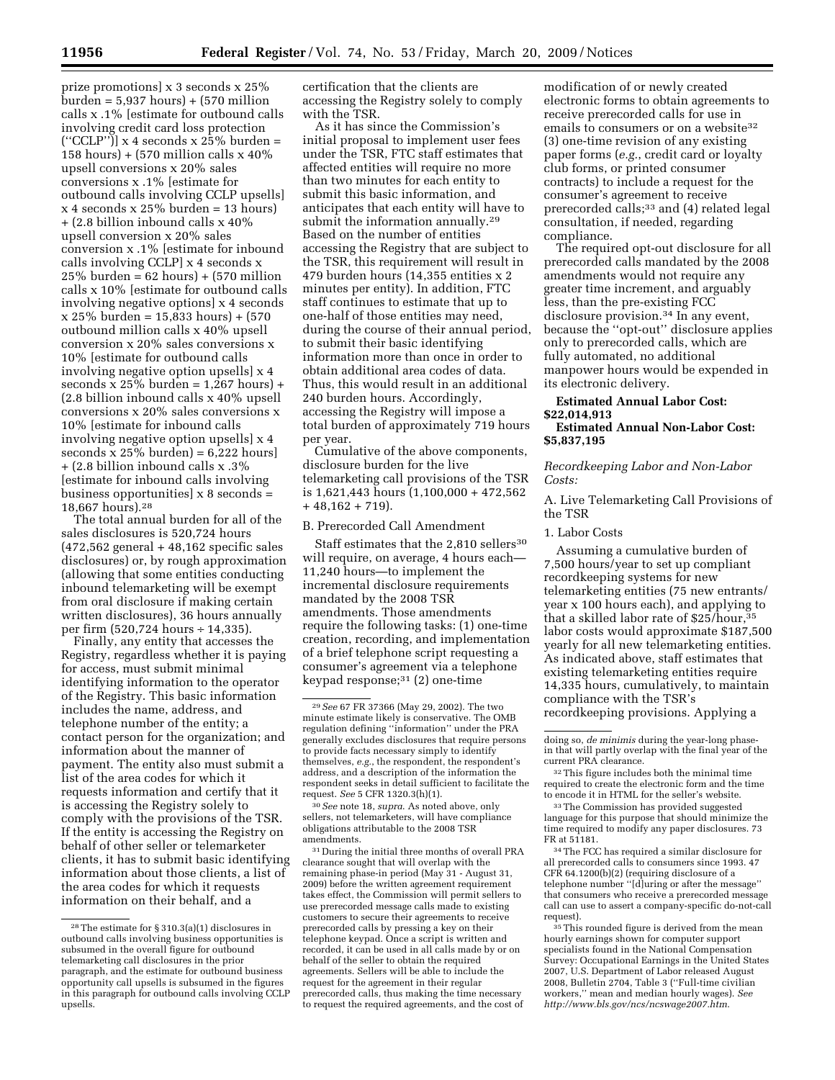prize promotions] x 3 seconds x 25%  $\text{burden} = 5,937 \text{ hours} + (570 \text{ million})$ calls x .1% [estimate for outbound calls involving credit card loss protection  $("CCLP")$ ] x 4 seconds x  $25\%$  burden = 158 hours) + (570 million calls  $x$  40% upsell conversions x 20% sales conversions x .1% [estimate for outbound calls involving CCLP upsells]  $x 4$  seconds  $x 25\%$  burden = 13 hours) + (2.8 billion inbound calls x 40% upsell conversion x 20% sales conversion x .1% [estimate for inbound calls involving CCLP] x 4 seconds x  $25\%$  burden =  $62$  hours) +  $(570$  million calls x 10% [estimate for outbound calls involving negative options] x 4 seconds x 25% burden = 15,833 hours) + (570 outbound million calls x 40% upsell conversion x 20% sales conversions x 10% [estimate for outbound calls involving negative option upsells] x 4 seconds x  $25\%$  burden =  $1,267$  hours) + (2.8 billion inbound calls x 40% upsell conversions x 20% sales conversions x 10% [estimate for inbound calls involving negative option upsells] x 4 seconds  $x 25\%$  burden) = 6,222 hours + (2.8 billion inbound calls x .3% [estimate for inbound calls involving business opportunities]  $x$  8 seconds = 18,667 hours).28

The total annual burden for all of the sales disclosures is 520,724 hours (472,562 general + 48,162 specific sales disclosures) or, by rough approximation (allowing that some entities conducting inbound telemarketing will be exempt from oral disclosure if making certain written disclosures), 36 hours annually per firm (520,724 hours ÷ 14,335).

Finally, any entity that accesses the Registry, regardless whether it is paying for access, must submit minimal identifying information to the operator of the Registry. This basic information includes the name, address, and telephone number of the entity; a contact person for the organization; and information about the manner of payment. The entity also must submit a list of the area codes for which it requests information and certify that it is accessing the Registry solely to comply with the provisions of the TSR. If the entity is accessing the Registry on behalf of other seller or telemarketer clients, it has to submit basic identifying information about those clients, a list of the area codes for which it requests information on their behalf, and a

certification that the clients are accessing the Registry solely to comply with the TSR.

As it has since the Commission's initial proposal to implement user fees under the TSR, FTC staff estimates that affected entities will require no more than two minutes for each entity to submit this basic information, and anticipates that each entity will have to submit the information annually.<sup>29</sup> Based on the number of entities accessing the Registry that are subject to the TSR, this requirement will result in 479 burden hours (14,355 entities x 2 minutes per entity). In addition, FTC staff continues to estimate that up to one-half of those entities may need, during the course of their annual period, to submit their basic identifying information more than once in order to obtain additional area codes of data. Thus, this would result in an additional 240 burden hours. Accordingly, accessing the Registry will impose a total burden of approximately 719 hours per year.

Cumulative of the above components, disclosure burden for the live telemarketing call provisions of the TSR is 1,621,443 hours (1,100,000 + 472,562  $+48,162 + 719$ ).

B. Prerecorded Call Amendment

Staff estimates that the 2,810 sellers<sup>30</sup> will require, on average, 4 hours each-11,240 hours—to implement the incremental disclosure requirements mandated by the 2008 TSR amendments. Those amendments require the following tasks: (1) one-time creation, recording, and implementation of a brief telephone script requesting a consumer's agreement via a telephone keypad response; $31$  (2) one-time

30*See* note 18, *supra*. As noted above, only sellers, not telemarketers, will have compliance obligations attributable to the 2008 TSR amendments.

 $^{\rm 31}$  During the initial three months of overall PRA clearance sought that will overlap with the remaining phase-in period (May 31 - August 31, 2009) before the written agreement requirement takes effect, the Commission will permit sellers to use prerecorded message calls made to existing customers to secure their agreements to receive prerecorded calls by pressing a key on their telephone keypad. Once a script is written and recorded, it can be used in all calls made by or on behalf of the seller to obtain the required agreements. Sellers will be able to include the request for the agreement in their regular prerecorded calls, thus making the time necessary to request the required agreements, and the cost of

modification of or newly created electronic forms to obtain agreements to receive prerecorded calls for use in emails to consumers or on a website<sup>32</sup> (3) one-time revision of any existing paper forms (*e.g.*, credit card or loyalty club forms, or printed consumer contracts) to include a request for the consumer's agreement to receive prerecorded calls;33 and (4) related legal consultation, if needed, regarding compliance.

The required opt-out disclosure for all prerecorded calls mandated by the 2008 amendments would not require any greater time increment, and arguably less, than the pre-existing FCC disclosure provision.<sup>34</sup> In any event, because the ''opt-out'' disclosure applies only to prerecorded calls, which are fully automated, no additional manpower hours would be expended in its electronic delivery.

**Estimated Annual Labor Cost: \$22,014,913 Estimated Annual Non-Labor Cost: \$5,837,195** 

## *Recordkeeping Labor and Non-Labor Costs:*

A. Live Telemarketing Call Provisions of the TSR

1. Labor Costs

Assuming a cumulative burden of 7,500 hours/year to set up compliant recordkeeping systems for new telemarketing entities (75 new entrants/ year x 100 hours each), and applying to that a skilled labor rate of \$25/hour,35 labor costs would approximate \$187,500 yearly for all new telemarketing entities. As indicated above, staff estimates that existing telemarketing entities require 14,335 hours, cumulatively, to maintain compliance with the TSR's recordkeeping provisions. Applying a

34The FCC has required a similar disclosure for all prerecorded calls to consumers since 1993. 47 CFR 64.1200(b)(2) (requiring disclosure of a telephone number ''[d]uring or after the message'' that consumers who receive a prerecorded message call can use to assert a company-specific do-not-call request).

<sup>35</sup>This rounded figure is derived from the mean hourly earnings shown for computer support specialists found in the National Compensation Survey: Occupational Earnings in the United States 2007, U.S. Department of Labor released August 2008, Bulletin 2704, Table 3 (''Full-time civilian workers,'' mean and median hourly wages). *See http://www.bls.gov/ncs/ncswage2007.htm*.

<sup>28</sup>The estimate for § 310.3(a)(1) disclosures in outbound calls involving business opportunities is subsumed in the overall figure for outbound telemarketing call disclosures in the prior paragraph, and the estimate for outbound business opportunity call upsells is subsumed in the figures in this paragraph for outbound calls involving CCLP upsells.

<sup>29</sup>*See* 67 FR 37366 (May 29, 2002). The two minute estimate likely is conservative. The OMB regulation defining ''information'' under the PRA generally excludes disclosures that require persons to provide facts necessary simply to identify themselves, *e.g.*, the respondent, the respondent's address, and a description of the information the respondent seeks in detail sufficient to facilitate the request. *See* 5 CFR 1320.3(h)(1).

doing so, *de minimis* during the year-long phasein that will partly overlap with the final year of the current PRA clearance.

<sup>&</sup>lt;sup>32</sup>This figure includes both the minimal time required to create the electronic form and the time to encode it in HTML for the seller's website.

<sup>33</sup>The Commission has provided suggested language for this purpose that should minimize the time required to modify any paper disclosures. 73 FR at 51181.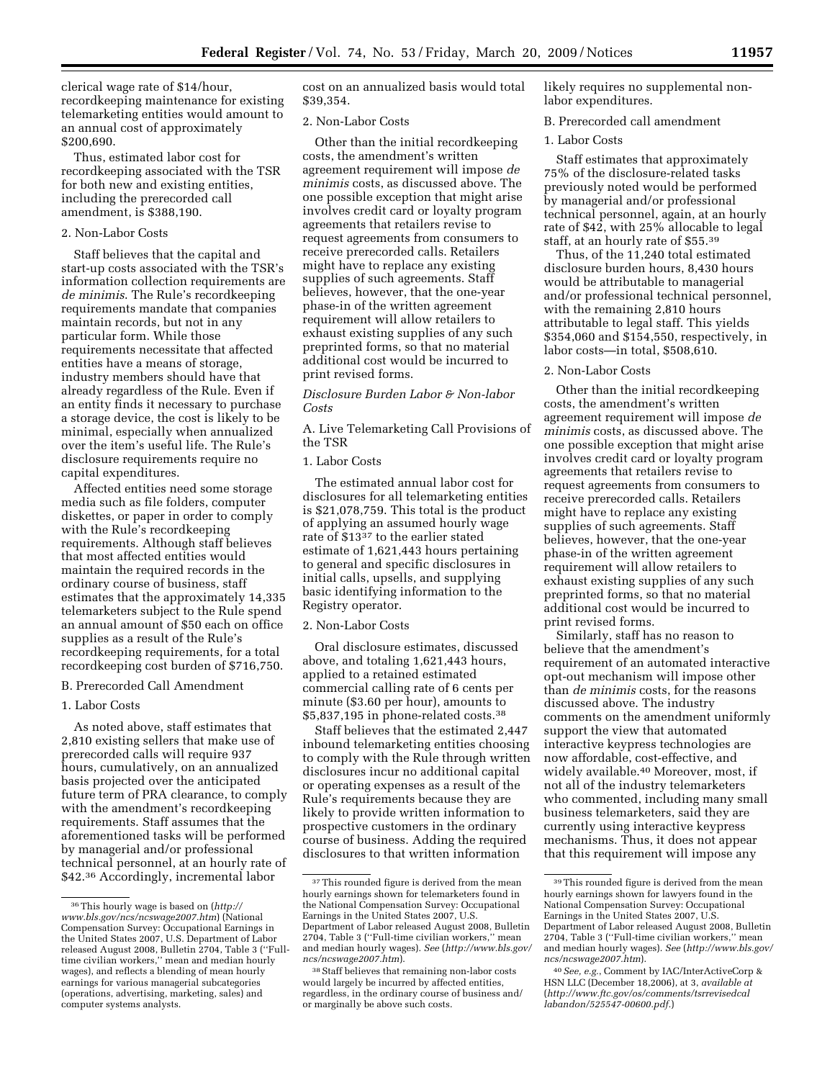clerical wage rate of \$14/hour, recordkeeping maintenance for existing telemarketing entities would amount to an annual cost of approximately \$200,690.

Thus, estimated labor cost for recordkeeping associated with the TSR for both new and existing entities, including the prerecorded call amendment, is \$388,190.

### 2. Non-Labor Costs

Staff believes that the capital and start-up costs associated with the TSR's information collection requirements are *de minimis*. The Rule's recordkeeping requirements mandate that companies maintain records, but not in any particular form. While those requirements necessitate that affected entities have a means of storage, industry members should have that already regardless of the Rule. Even if an entity finds it necessary to purchase a storage device, the cost is likely to be minimal, especially when annualized over the item's useful life. The Rule's disclosure requirements require no capital expenditures.

Affected entities need some storage media such as file folders, computer diskettes, or paper in order to comply with the Rule's recordkeeping requirements. Although staff believes that most affected entities would maintain the required records in the ordinary course of business, staff estimates that the approximately 14,335 telemarketers subject to the Rule spend an annual amount of \$50 each on office supplies as a result of the Rule's recordkeeping requirements, for a total recordkeeping cost burden of \$716,750.

#### B. Prerecorded Call Amendment

## 1. Labor Costs

As noted above, staff estimates that 2,810 existing sellers that make use of prerecorded calls will require 937 hours, cumulatively, on an annualized basis projected over the anticipated future term of PRA clearance, to comply with the amendment's recordkeeping requirements. Staff assumes that the aforementioned tasks will be performed by managerial and/or professional technical personnel, at an hourly rate of \$42.36 Accordingly, incremental labor

cost on an annualized basis would total \$39,354.

### 2. Non-Labor Costs

Other than the initial recordkeeping costs, the amendment's written agreement requirement will impose *de minimis* costs, as discussed above. The one possible exception that might arise involves credit card or loyalty program agreements that retailers revise to request agreements from consumers to receive prerecorded calls. Retailers might have to replace any existing supplies of such agreements. Staff believes, however, that the one-year phase-in of the written agreement requirement will allow retailers to exhaust existing supplies of any such preprinted forms, so that no material additional cost would be incurred to print revised forms.

## *Disclosure Burden Labor & Non-labor Costs*

A. Live Telemarketing Call Provisions of the TSR

## 1. Labor Costs

The estimated annual labor cost for disclosures for all telemarketing entities is \$21,078,759. This total is the product of applying an assumed hourly wage rate of \$1337 to the earlier stated estimate of 1,621,443 hours pertaining to general and specific disclosures in initial calls, upsells, and supplying basic identifying information to the Registry operator.

## 2. Non-Labor Costs

Oral disclosure estimates, discussed above, and totaling 1,621,443 hours, applied to a retained estimated commercial calling rate of 6 cents per minute (\$3.60 per hour), amounts to \$5,837,195 in phone-related costs.38

Staff believes that the estimated 2,447 inbound telemarketing entities choosing to comply with the Rule through written disclosures incur no additional capital or operating expenses as a result of the Rule's requirements because they are likely to provide written information to prospective customers in the ordinary course of business. Adding the required disclosures to that written information

likely requires no supplemental nonlabor expenditures.

#### B. Prerecorded call amendment

#### 1. Labor Costs

Staff estimates that approximately 75% of the disclosure-related tasks previously noted would be performed by managerial and/or professional technical personnel, again, at an hourly rate of \$42, with 25% allocable to legal staff, at an hourly rate of \$55.39

Thus, of the 11,240 total estimated disclosure burden hours, 8,430 hours would be attributable to managerial and/or professional technical personnel, with the remaining 2,810 hours attributable to legal staff. This yields \$354,060 and \$154,550, respectively, in labor costs—in total, \$508,610.

### 2. Non-Labor Costs

Other than the initial recordkeeping costs, the amendment's written agreement requirement will impose *de minimis* costs, as discussed above. The one possible exception that might arise involves credit card or loyalty program agreements that retailers revise to request agreements from consumers to receive prerecorded calls. Retailers might have to replace any existing supplies of such agreements. Staff believes, however, that the one-year phase-in of the written agreement requirement will allow retailers to exhaust existing supplies of any such preprinted forms, so that no material additional cost would be incurred to print revised forms.

Similarly, staff has no reason to believe that the amendment's requirement of an automated interactive opt-out mechanism will impose other than *de minimis* costs, for the reasons discussed above. The industry comments on the amendment uniformly support the view that automated interactive keypress technologies are now affordable, cost-effective, and widely available.40 Moreover, most, if not all of the industry telemarketers who commented, including many small business telemarketers, said they are currently using interactive keypress mechanisms. Thus, it does not appear that this requirement will impose any

<sup>36</sup>This hourly wage is based on (*http:// www.bls.gov/ncs/ncswage2007.htm*) (National Compensation Survey: Occupational Earnings in the United States 2007, U.S. Department of Labor released August 2008, Bulletin 2704, Table 3 (''Fulltime civilian workers,'' mean and median hourly wages), and reflects a blending of mean hourly earnings for various managerial subcategories (operations, advertising, marketing, sales) and computer systems analysts.

 $^{\rm 37}$  This rounded figure is derived from the mean hourly earnings shown for telemarketers found in the National Compensation Survey: Occupational Earnings in the United States 2007, U.S. Department of Labor released August 2008, Bulletin 2704, Table 3 (''Full-time civilian workers,'' mean and median hourly wages). *See* (*http://www.bls.gov/ ncs/ncswage2007.htm*).

<sup>38</sup>Staff believes that remaining non-labor costs would largely be incurred by affected entities, regardless, in the ordinary course of business and/ or marginally be above such costs.

<sup>39</sup>This rounded figure is derived from the mean hourly earnings shown for lawyers found in the National Compensation Survey: Occupational Earnings in the United States 2007, U.S. Department of Labor released August 2008, Bulletin 2704, Table 3 (''Full-time civilian workers,'' mean and median hourly wages). *See* (*http://www.bls.gov/ ncs/ncswage2007.htm*).

<sup>40</sup>*See, e.g.*, Comment by IAC/InterActiveCorp & HSN LLC (December 18,2006), at 3, *available at*  (*http://www.ftc.gov/os/comments/tsrrevisedcal labandon/525547-00600.pdf.*)